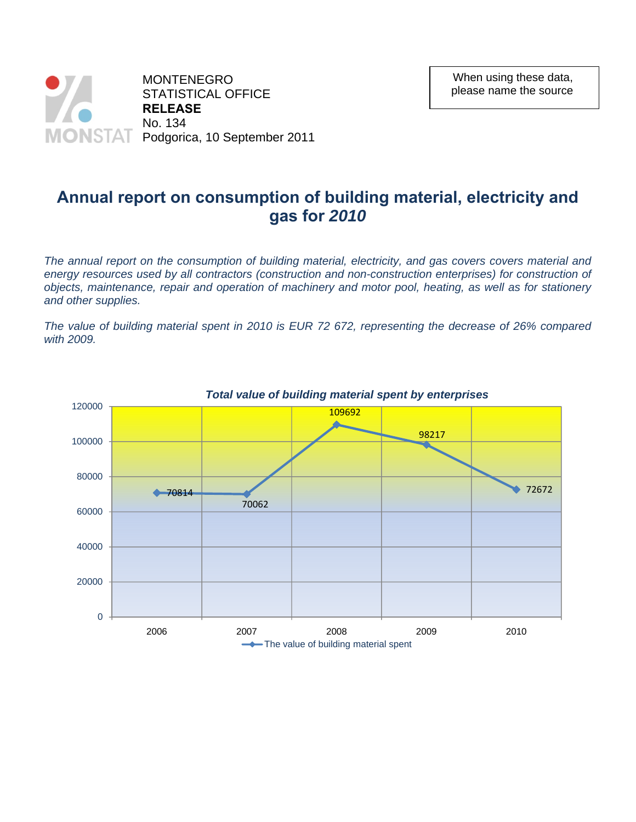

## **Annual report on consumption of building material, electricity and gas for** *2010*

*The annual report on the consumption of building material, electricity, and gas covers covers material and*  energy resources used by all contractors (construction and non-construction enterprises) for construction of *objects, maintenance, repair and operation of machinery and motor pool, heating, as well as for stationery and other supplies.* 

*The value of building material spent in 2010 is EUR 72 672, representing the decrease of 26% compared with 2009.* 

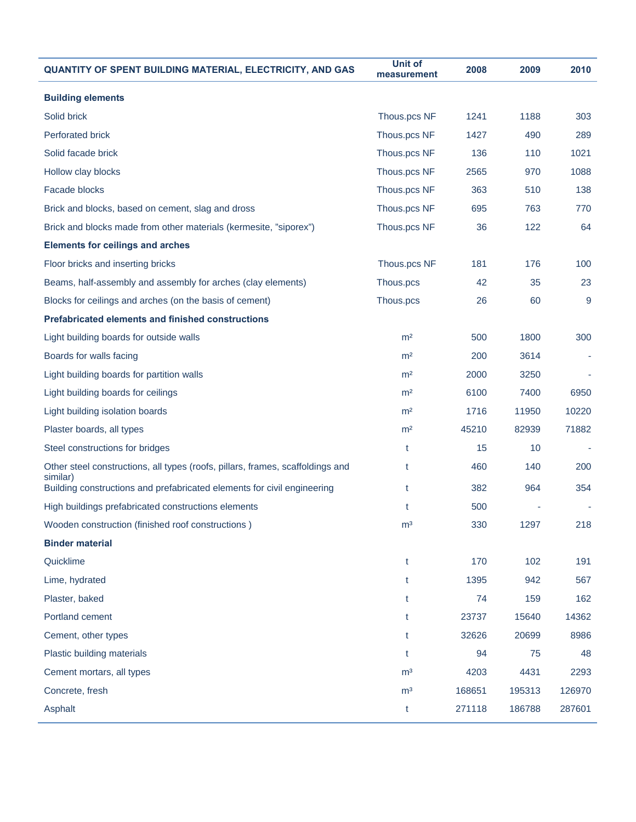| QUANTITY OF SPENT BUILDING MATERIAL, ELECTRICITY, AND GAS                                  | <b>Unit of</b><br>measurement | 2008   | 2009   | 2010   |
|--------------------------------------------------------------------------------------------|-------------------------------|--------|--------|--------|
| <b>Building elements</b>                                                                   |                               |        |        |        |
| Solid brick                                                                                | Thous.pcs NF                  | 1241   | 1188   | 303    |
| <b>Perforated brick</b>                                                                    | Thous.pcs NF                  | 1427   | 490    | 289    |
| Solid facade brick                                                                         | Thous.pcs NF                  | 136    | 110    | 1021   |
| Hollow clay blocks                                                                         | Thous.pcs NF                  | 2565   | 970    | 1088   |
| Facade blocks                                                                              | Thous.pcs NF                  | 363    | 510    | 138    |
| Brick and blocks, based on cement, slag and dross                                          | Thous.pcs NF                  | 695    | 763    | 770    |
| Brick and blocks made from other materials (kermesite, "siporex")                          | Thous.pcs NF                  | 36     | 122    | 64     |
| <b>Elements for ceilings and arches</b>                                                    |                               |        |        |        |
| Floor bricks and inserting bricks                                                          | Thous.pcs NF                  | 181    | 176    | 100    |
| Beams, half-assembly and assembly for arches (clay elements)                               | Thous.pcs                     | 42     | 35     | 23     |
| Blocks for ceilings and arches (on the basis of cement)                                    | Thous.pcs                     | 26     | 60     | 9      |
| <b>Prefabricated elements and finished constructions</b>                                   |                               |        |        |        |
| Light building boards for outside walls                                                    | m <sup>2</sup>                | 500    | 1800   | 300    |
| Boards for walls facing                                                                    | m <sup>2</sup>                | 200    | 3614   |        |
| Light building boards for partition walls                                                  | m <sup>2</sup>                | 2000   | 3250   |        |
| Light building boards for ceilings                                                         | m <sup>2</sup>                | 6100   | 7400   | 6950   |
| Light building isolation boards                                                            | m <sup>2</sup>                | 1716   | 11950  | 10220  |
| Plaster boards, all types                                                                  | m <sup>2</sup>                | 45210  | 82939  | 71882  |
| Steel constructions for bridges                                                            | t                             | 15     | 10     |        |
| Other steel constructions, all types (roofs, pillars, frames, scaffoldings and<br>similar) | t                             | 460    | 140    | 200    |
| Building constructions and prefabricated elements for civil engineering                    | t                             | 382    | 964    | 354    |
| High buildings prefabricated constructions elements                                        | t                             | 500    |        |        |
| Wooden construction (finished roof constructions)                                          | m <sup>3</sup>                | 330    | 1297   | 218    |
| <b>Binder material</b>                                                                     |                               |        |        |        |
| Quicklime                                                                                  | t                             | 170    | 102    | 191    |
| Lime, hydrated                                                                             | t                             | 1395   | 942    | 567    |
| Plaster, baked                                                                             | t                             | 74     | 159    | 162    |
| Portland cement                                                                            | t                             | 23737  | 15640  | 14362  |
| Cement, other types                                                                        | t                             | 32626  | 20699  | 8986   |
| Plastic building materials                                                                 | t                             | 94     | 75     | 48     |
| Cement mortars, all types                                                                  | m <sup>3</sup>                | 4203   | 4431   | 2293   |
| Concrete, fresh                                                                            | m <sup>3</sup>                | 168651 | 195313 | 126970 |
| Asphalt                                                                                    | t                             | 271118 | 186788 | 287601 |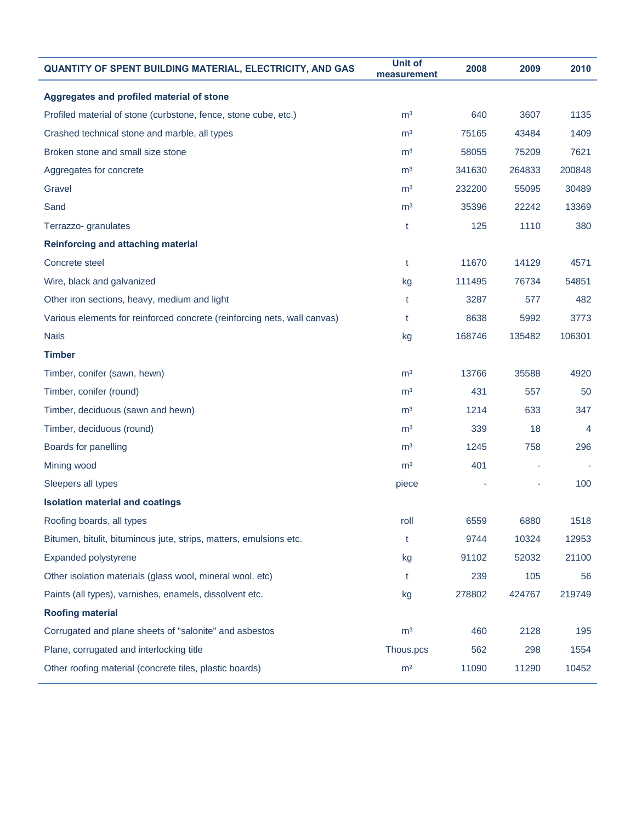| <b>QUANTITY OF SPENT BUILDING MATERIAL, ELECTRICITY, AND GAS</b>         | <b>Unit of</b><br>measurement | 2008   | 2009   | 2010   |
|--------------------------------------------------------------------------|-------------------------------|--------|--------|--------|
| Aggregates and profiled material of stone                                |                               |        |        |        |
| Profiled material of stone (curbstone, fence, stone cube, etc.)          | m <sup>3</sup>                | 640    | 3607   | 1135   |
| Crashed technical stone and marble, all types                            | m <sup>3</sup>                | 75165  | 43484  | 1409   |
| Broken stone and small size stone                                        | m <sup>3</sup>                | 58055  | 75209  | 7621   |
| Aggregates for concrete                                                  | m <sup>3</sup>                | 341630 | 264833 | 200848 |
| Gravel                                                                   | m <sup>3</sup>                | 232200 | 55095  | 30489  |
| Sand                                                                     | m <sup>3</sup>                | 35396  | 22242  | 13369  |
| Terrazzo- granulates                                                     | t                             | 125    | 1110   | 380    |
| Reinforcing and attaching material                                       |                               |        |        |        |
| Concrete steel                                                           | t                             | 11670  | 14129  | 4571   |
| Wire, black and galvanized                                               | kg                            | 111495 | 76734  | 54851  |
| Other iron sections, heavy, medium and light                             | t                             | 3287   | 577    | 482    |
| Various elements for reinforced concrete (reinforcing nets, wall canvas) | t                             | 8638   | 5992   | 3773   |
| <b>Nails</b>                                                             | kg                            | 168746 | 135482 | 106301 |
| <b>Timber</b>                                                            |                               |        |        |        |
| Timber, conifer (sawn, hewn)                                             | m <sup>3</sup>                | 13766  | 35588  | 4920   |
| Timber, conifer (round)                                                  | m <sup>3</sup>                | 431    | 557    | 50     |
| Timber, deciduous (sawn and hewn)                                        | m <sup>3</sup>                | 1214   | 633    | 347    |
| Timber, deciduous (round)                                                | m <sup>3</sup>                | 339    | 18     | 4      |
| Boards for panelling                                                     | m <sup>3</sup>                | 1245   | 758    | 296    |
| Mining wood                                                              | m <sup>3</sup>                | 401    |        |        |
| Sleepers all types                                                       | piece                         |        |        | 100    |
| <b>Isolation material and coatings</b>                                   |                               |        |        |        |
| Roofing boards, all types                                                | roll                          | 6559   | 6880   | 1518   |
| Bitumen, bitulit, bituminous jute, strips, matters, emulsions etc.       | t                             | 9744   | 10324  | 12953  |
| Expanded polystyrene                                                     | kg                            | 91102  | 52032  | 21100  |
| Other isolation materials (glass wool, mineral wool. etc)                | t                             | 239    | 105    | 56     |
| Paints (all types), varnishes, enamels, dissolvent etc.                  | kg                            | 278802 | 424767 | 219749 |
| <b>Roofing material</b>                                                  |                               |        |        |        |
| Corrugated and plane sheets of "salonite" and asbestos                   | m <sup>3</sup>                | 460    | 2128   | 195    |
| Plane, corrugated and interlocking title                                 | Thous.pcs                     | 562    | 298    | 1554   |
| Other roofing material (concrete tiles, plastic boards)                  | m <sup>2</sup>                | 11090  | 11290  | 10452  |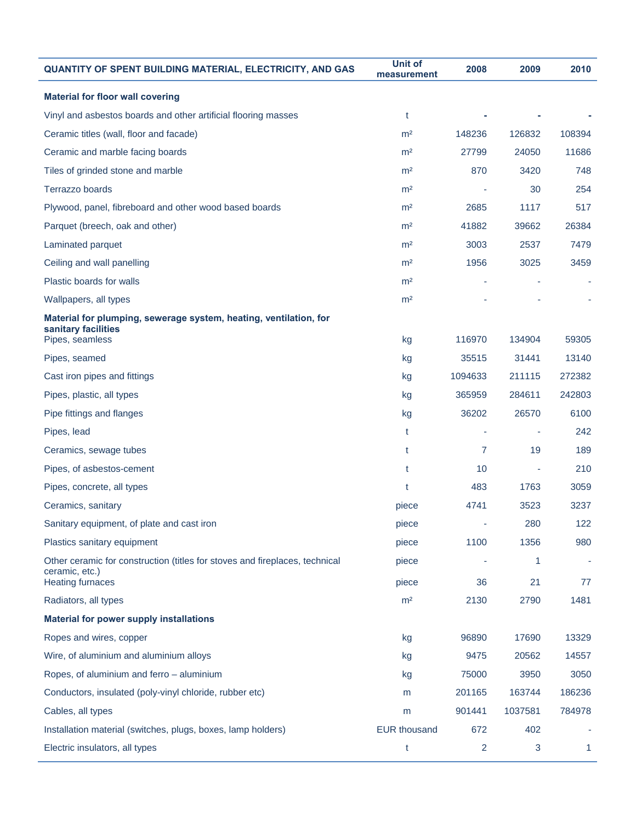| QUANTITY OF SPENT BUILDING MATERIAL, ELECTRICITY, AND GAS                                     | <b>Unit of</b><br>measurement | 2008    | 2009    | 2010   |
|-----------------------------------------------------------------------------------------------|-------------------------------|---------|---------|--------|
| <b>Material for floor wall covering</b>                                                       |                               |         |         |        |
| Vinyl and asbestos boards and other artificial flooring masses                                | t                             |         |         |        |
| Ceramic titles (wall, floor and facade)                                                       | m <sup>2</sup>                | 148236  | 126832  | 108394 |
| Ceramic and marble facing boards                                                              | m <sup>2</sup>                | 27799   | 24050   | 11686  |
| Tiles of grinded stone and marble                                                             | m <sup>2</sup>                | 870     | 3420    | 748    |
| Terrazzo boards                                                                               | m <sup>2</sup>                |         | 30      | 254    |
| Plywood, panel, fibreboard and other wood based boards                                        | m <sup>2</sup>                | 2685    | 1117    | 517    |
| Parquet (breech, oak and other)                                                               | m <sup>2</sup>                | 41882   | 39662   | 26384  |
| Laminated parquet                                                                             | m <sup>2</sup>                | 3003    | 2537    | 7479   |
| Ceiling and wall panelling                                                                    | m <sup>2</sup>                | 1956    | 3025    | 3459   |
| Plastic boards for walls                                                                      | m <sup>2</sup>                |         |         |        |
| Wallpapers, all types                                                                         | m <sup>2</sup>                |         |         |        |
| Material for plumping, sewerage system, heating, ventilation, for<br>sanitary facilities      |                               |         |         |        |
| Pipes, seamless                                                                               | kg                            | 116970  | 134904  | 59305  |
| Pipes, seamed                                                                                 | kg                            | 35515   | 31441   | 13140  |
| Cast iron pipes and fittings                                                                  | kg                            | 1094633 | 211115  | 272382 |
| Pipes, plastic, all types                                                                     | kg                            | 365959  | 284611  | 242803 |
| Pipe fittings and flanges                                                                     | kg                            | 36202   | 26570   | 6100   |
| Pipes, lead                                                                                   | t                             |         |         | 242    |
| Ceramics, sewage tubes                                                                        | t                             | 7       | 19      | 189    |
| Pipes, of asbestos-cement                                                                     | t                             | 10      |         | 210    |
| Pipes, concrete, all types                                                                    | t                             | 483     | 1763    | 3059   |
| Ceramics, sanitary                                                                            | piece                         | 4741    | 3523    | 3237   |
| Sanitary equipment, of plate and cast iron                                                    | piece                         |         | 280     | 122    |
| Plastics sanitary equipment                                                                   | piece                         | 1100    | 1356    | 980    |
| Other ceramic for construction (titles for stoves and fireplaces, technical<br>ceramic, etc.) | piece                         |         | 1       |        |
| <b>Heating furnaces</b>                                                                       | piece                         | 36      | 21      | 77     |
| Radiators, all types                                                                          | m <sup>2</sup>                | 2130    | 2790    | 1481   |
| <b>Material for power supply installations</b>                                                |                               |         |         |        |
| Ropes and wires, copper                                                                       | kg                            | 96890   | 17690   | 13329  |
| Wire, of aluminium and aluminium alloys                                                       | kg                            | 9475    | 20562   | 14557  |
| Ropes, of aluminium and ferro - aluminium                                                     | kg                            | 75000   | 3950    | 3050   |
| Conductors, insulated (poly-vinyl chloride, rubber etc)                                       | m                             | 201165  | 163744  | 186236 |
| Cables, all types                                                                             | m                             | 901441  | 1037581 | 784978 |
| Installation material (switches, plugs, boxes, lamp holders)                                  | <b>EUR thousand</b>           | 672     | 402     |        |
| Electric insulators, all types                                                                | t                             | 2       | 3       | 1      |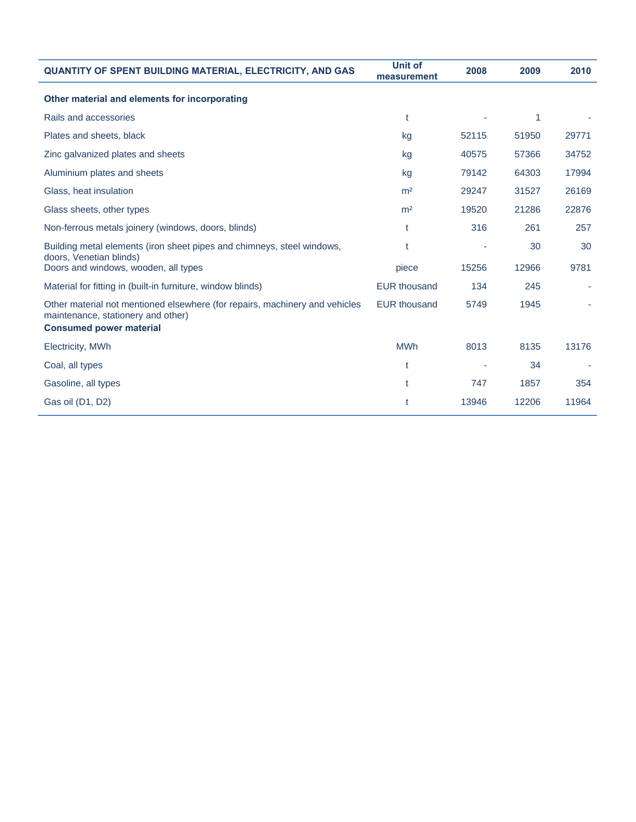| <b>QUANTITY OF SPENT BUILDING MATERIAL, ELECTRICITY, AND GAS</b>                                                                                    | <b>Unit of</b><br>measurement | 2008  | 2009  | 2010  |
|-----------------------------------------------------------------------------------------------------------------------------------------------------|-------------------------------|-------|-------|-------|
| Other material and elements for incorporating                                                                                                       |                               |       |       |       |
| Rails and accessories                                                                                                                               | t                             |       | 1     |       |
| Plates and sheets, black                                                                                                                            | kg                            | 52115 | 51950 | 29771 |
| Zinc galvanized plates and sheets                                                                                                                   | kg                            | 40575 | 57366 | 34752 |
| Aluminium plates and sheets                                                                                                                         | kg                            | 79142 | 64303 | 17994 |
| Glass, heat insulation                                                                                                                              | m <sup>2</sup>                | 29247 | 31527 | 26169 |
| Glass sheets, other types                                                                                                                           | m <sup>2</sup>                | 19520 | 21286 | 22876 |
| Non-ferrous metals joinery (windows, doors, blinds)                                                                                                 | t                             | 316   | 261   | 257   |
| Building metal elements (iron sheet pipes and chimneys, steel windows,                                                                              | t                             |       | 30    | 30    |
| doors, Venetian blinds)<br>Doors and windows, wooden, all types                                                                                     | piece                         | 15256 | 12966 | 9781  |
| Material for fitting in (built-in furniture, window blinds)                                                                                         | <b>EUR thousand</b>           | 134   | 245   |       |
| Other material not mentioned elsewhere (for repairs, machinery and vehicles<br>maintenance, stationery and other)<br><b>Consumed power material</b> | <b>EUR thousand</b>           | 5749  | 1945  |       |
|                                                                                                                                                     |                               |       |       |       |
| Electricity, MWh                                                                                                                                    | <b>MWh</b>                    | 8013  | 8135  | 13176 |
| Coal, all types                                                                                                                                     | t                             |       | 34    |       |
| Gasoline, all types                                                                                                                                 | t                             | 747   | 1857  | 354   |
| Gas oil (D1, D2)                                                                                                                                    |                               | 13946 | 12206 | 11964 |